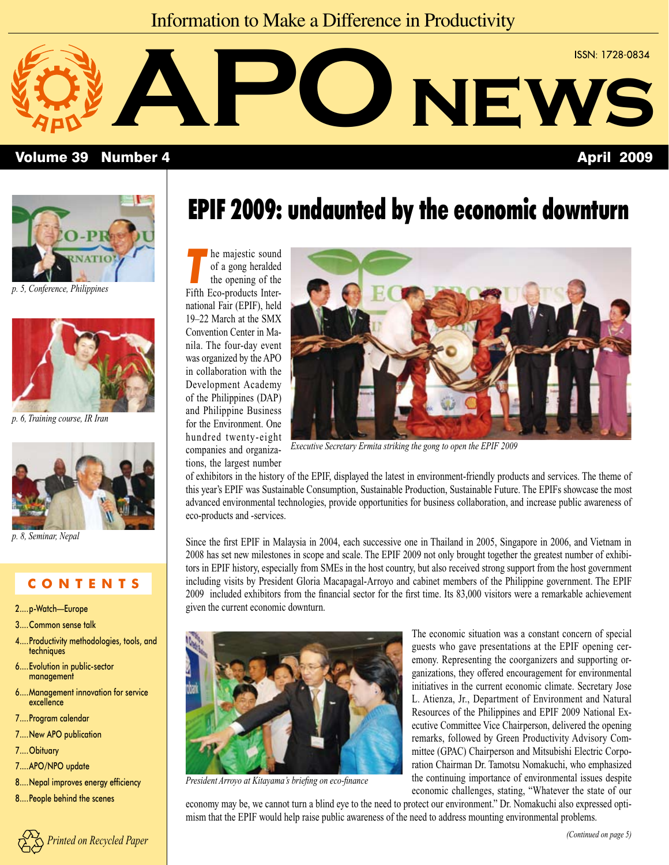### Information to Make a Difference in Productivity



### Volume 39 Number 4 April 2009



*[p. 5, Conference, Philippines](#page-4-0)*



*[p. 6, Training course, IR Iran](#page-5-0)* 



*[p. 8, Seminar, Nepal](#page-7-0)*

### **C O N T E N T S**

- [2....p-Watch—Europe](#page-1-0)
- [3....Common sense talk](#page-2-0)
- [4....Productivity methodologies, tools, and](#page-3-0)  techniques
- 6....Evolution in public-sector management
- [6....Management innovation for service](#page-5-0)  excellence
- 7....Program calendar
- [7....New APO publication](#page-6-0)
- 7....Obituary
- 7....APO/NPO update
- [8....Nepal improves energy efficiency](#page-7-0)
- 8....People behind the scenes



## EPIF 2009: undaunted by the economic downturn

**The majestic sound**<br>of a gong heralded<br>the opening of the of a gong heralded the opening of the Fifth Eco-products International Fair (EPIF), held 19–22 March at the SMX Convention Center in Manila. The four-day event was organized by the APO in collaboration with the Development Academy of the Philippines (DAP) and Philippine Business for the Environment. One hundred twenty-eight companies and organiza-

tions, the largest number



*Executive Secretary Ermita striking the gong to open the EPIF 2009* 

of exhibitors in the history of the EPIF, displayed the latest in environment-friendly products and services. The theme of this year's EPIF was Sustainable Consumption, Sustainable Production, Sustainable Future. The EPIFs showcase the most advanced environmental technologies, provide opportunities for business collaboration, and increase public awareness of eco-products and -services.

Since the first EPIF in Malaysia in 2004, each successive one in Thailand in 2005, Singapore in 2006, and Vietnam in 2008 has set new milestones in scope and scale. The EPIF 2009 not only brought together the greatest number of exhibitors in EPIF history, especially from SMEs in the host country, but also received strong support from the host government including visits by President Gloria Macapagal-Arroyo and cabinet members of the Philippine government. The EPIF 2009 included exhibitors from the financial sector for the first time. Its 83,000 visitors were a remarkable achievement given the current economic downturn.



*President Arroyo at Kitayama's briefing on eco-finance*

The economic situation was a constant concern of special guests who gave presentations at the EPIF opening ceremony. Representing the coorganizers and supporting organizations, they offered encouragement for environmental initiatives in the current economic climate. Secretary Jose L. Atienza, Jr., Department of Environment and Natural Resources of the Philippines and EPIF 2009 National Executive Committee Vice Chairperson, delivered the opening remarks, followed by Green Productivity Advisory Committee (GPAC) Chairperson and Mitsubishi Electric Corporation Chairman Dr. Tamotsu Nomakuchi, who emphasized the continuing importance of environmental issues despite economic challenges, stating, "Whatever the state of our

economy may be, we cannot turn a blind eye to the need to protect our environment." Dr. Nomakuchi also expressed optimism that the EPIF would help raise public awareness of the need to address mounting environmental problems.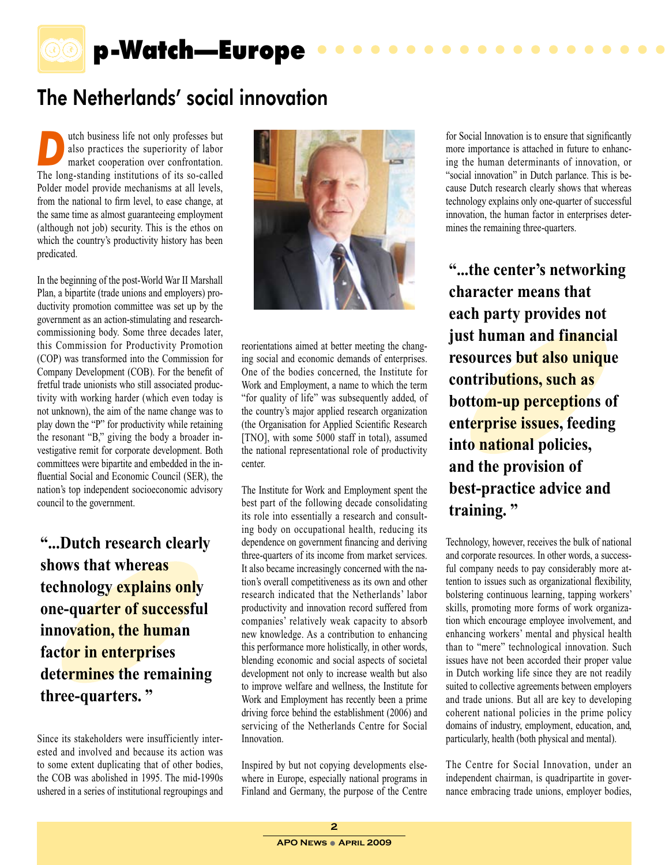<span id="page-1-0"></span>

## p-Watch—Europe

### The Netherlands' social innovation

**Dutch business life not only professes but also practices the superiority of labor market cooperation over confrontation.** also practices the superiority of labor The long-standing institutions of its so-called Polder model provide mechanisms at all levels, from the national to firm level, to ease change, at the same time as almost guaranteeing employment (although not job) security. This is the ethos on which the country's productivity history has been predicated.

In the beginning of the post-World War II Marshall Plan, a bipartite (trade unions and employers) productivity promotion committee was set up by the government as an action-stimulating and researchcommissioning body. Some three decades later, this Commission for Productivity Promotion (COP) was transformed into the Commission for Company Development (COB). For the benefit of fretful trade unionists who still associated productivity with working harder (which even today is not unknown), the aim of the name change was to play down the "P" for productivity while retaining the resonant "B," giving the body a broader investigative remit for corporate development. Both committees were bipartite and embedded in the influential Social and Economic Council (SER), the nation's top independent socioeconomic advisory council to the government.

**"...Dutch research clearly shows that whereas technology explains only one-quarter of successful innovation, the human factor in enterprises determines the remaining three-quarters. "**

Since its stakeholders were insufficiently interested and involved and because its action was to some extent duplicating that of other bodies, the COB was abolished in 1995. The mid-1990s ushered in a series of institutional regroupings and



reorientations aimed at better meeting the changing social and economic demands of enterprises. One of the bodies concerned, the Institute for Work and Employment, a name to which the term "for quality of life" was subsequently added, of the country's major applied research organization (the Organisation for Applied Scientific Research [TNO], with some 5000 staff in total), assumed the national representational role of productivity center.

The Institute for Work and Employment spent the best part of the following decade consolidating its role into essentially a research and consulting body on occupational health, reducing its dependence on government financing and deriving three-quarters of its income from market services. It also became increasingly concerned with the nation's overall competitiveness as its own and other research indicated that the Netherlands' labor productivity and innovation record suffered from companies' relatively weak capacity to absorb new knowledge. As a contribution to enhancing this performance more holistically, in other words, blending economic and social aspects of societal development not only to increase wealth but also to improve welfare and wellness, the Institute for Work and Employment has recently been a prime driving force behind the establishment (2006) and servicing of the Netherlands Centre for Social Innovation.

Inspired by but not copying developments elsewhere in Europe, especially national programs in Finland and Germany, the purpose of the Centre for Social Innovation is to ensure that significantly more importance is attached in future to enhancing the human determinants of innovation, or "social innovation" in Dutch parlance. This is because Dutch research clearly shows that whereas technology explains only one-quarter of successful innovation, the human factor in enterprises determines the remaining three-quarters.

 $\bullet\bullet\bullet\bullet$ 

 $\bullet$  $\bullet$ 

**"...the center's networking character means that each party provides not just human and financial resources but also unique contributions, such as bottom-up perceptions of enterprise issues, feeding into national policies, and the provision of best-practice advice and training. "**

Technology, however, receives the bulk of national and corporate resources. In other words, a successful company needs to pay considerably more attention to issues such as organizational flexibility, bolstering continuous learning, tapping workers' skills, promoting more forms of work organization which encourage employee involvement, and enhancing workers' mental and physical health than to "mere" technological innovation. Such issues have not been accorded their proper value in Dutch working life since they are not readily suited to collective agreements between employers and trade unions. But all are key to developing coherent national policies in the prime policy domains of industry, employment, education, and, particularly, health (both physical and mental).

The Centre for Social Innovation, under an independent chairman, is quadripartite in governance embracing trade unions, employer bodies,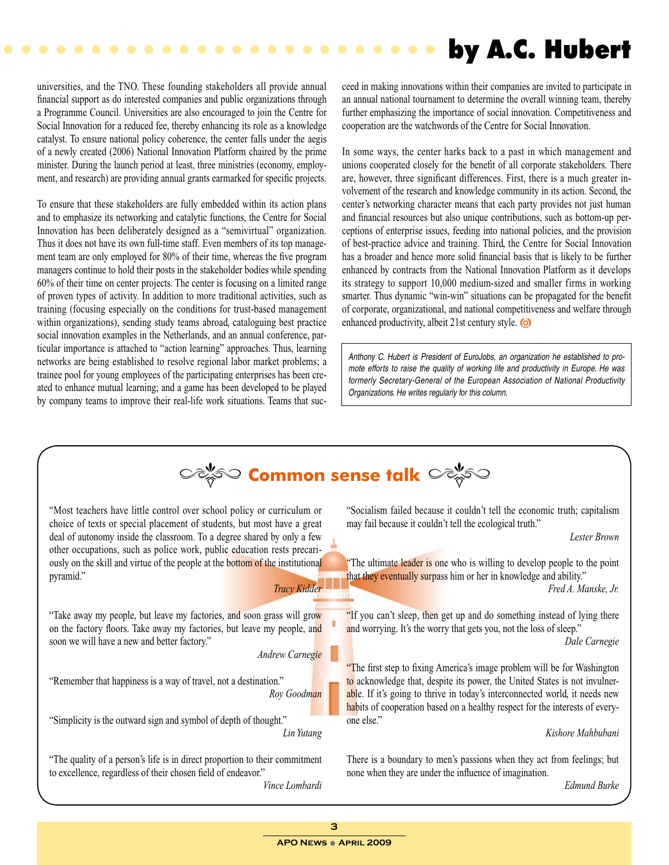### by A.C. Hubert

universities, and the TNO. These founding stakeholders all provide annual financial support as do interested companies and public organizations through a Programme Council. Universities are also encouraged to join the Centre for Social Innovation for a reduced fee, thereby enhancing its role as a knowledge catalyst. To ensure national policy coherence, the center falls under the aegis of a newly created (2006) National Innovation Platform chaired by the prime minister. During the launch period at least, three ministries (economy, employment, and research) are providing annual grants earmarked for specific projects.

<span id="page-2-0"></span>

 $\bullet$ 

To ensure that these stakeholders are fully embedded within its action plans and to emphasize its networking and catalytic functions, the Centre for Social Innovation has been deliberately designed as a "semivirtual" organization. Thus it does not have its own full-time staff. Even members of its top management team are only employed for 80% of their time, whereas the five program managers continue to hold their posts in the stakeholder bodies while spending 60% of their time on center projects. The center is focusing on a limited range of proven types of activity. In addition to more traditional activities, such as training (focusing especially on the conditions for trust-based management within organizations), sending study teams abroad, cataloguing best practice social innovation examples in the Netherlands, and an annual conference, particular importance is attached to "action learning" approaches. Thus, learning networks are being established to resolve regional labor market problems; a trainee pool for young employees of the participating enterprises has been created to enhance mutual learning; and a game has been developed to be played by company teams to improve their real-life work situations. Teams that succeed in making innovations within their companies are invited to participate in an annual national tournament to determine the overall winning team, thereby further emphasizing the importance of social innovation. Competitiveness and cooperation are the watchwords of the Centre for Social Innovation.

In some ways, the center harks back to a past in which management and unions cooperated closely for the benefit of all corporate stakeholders. There are, however, three significant differences. First, there is a much greater involvement of the research and knowledge community in its action. Second, the center's networking character means that each party provides not just human and financial resources but also unique contributions, such as bottom-up perceptions of enterprise issues, feeding into national policies, and the provision of best-practice advice and training. Third, the Centre for Social Innovation has a broader and hence more solid financial basis that is likely to be further enhanced by contracts from the National Innovation Platform as it develops its strategy to support 10,000 medium-sized and smaller firms in working smarter. Thus dynamic "win-win" situations can be propagated for the benefit of corporate, organizational, and national competitiveness and welfare through enhanced productivity, albeit 21st century style.

*Anthony C. Hubert is President of EuroJobs, an organization he established to promote efforts to raise the quality of working life and productivity in Europe. He was formerly Secretary-General of the European Association of National Productivity Organizations. He writes regularly for this column.*

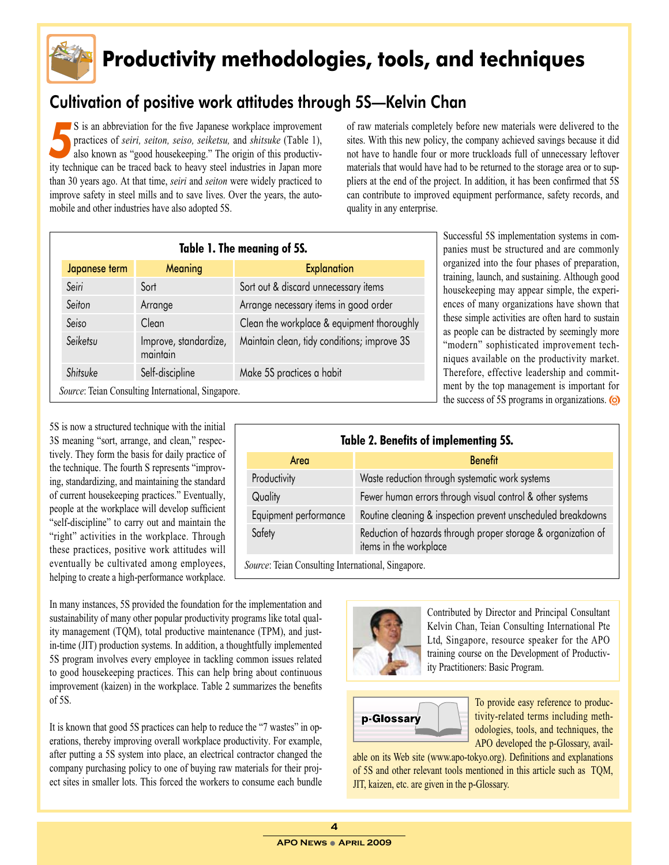<span id="page-3-0"></span>

## **Productivity methodologies, tools, and techniques**

### Cultivation of positive work attitudes through 5S—Kelvin Chan

**5** is an abbreviation for the five Japanese workplace improvement practices of *seiri*, *seiton*, *seiso*, *seiketsu*, and *shitsuke* (Table 1), also known as "good housekeeping." The origin of this productivpractices of *seiri, seiton, seiso, seiketsu,* and *shitsuke* (Table 1), ity technique can be traced back to heavy steel industries in Japan more than 30 years ago. At that time, *seiri* and *seiton* were widely practiced to improve safety in steel mills and to save lives. Over the years, the automobile and other industries have also adopted 5S.

of raw materials completely before new materials were delivered to the sites. With this new policy, the company achieved savings because it did not have to handle four or more truckloads full of unnecessary leftover materials that would have had to be returned to the storage area or to suppliers at the end of the project. In addition, it has been confirmed that 5S can contribute to improved equipment performance, safety records, and quality in any enterprise.

| Table 1. The meaning of 5S.                        |                                   |                                             |
|----------------------------------------------------|-----------------------------------|---------------------------------------------|
| Japanese term                                      | Meaning                           | <b>Explanation</b>                          |
| Seiri                                              | Sort                              | Sort out & discard unnecessary items        |
| Seiton                                             | Arrange                           | Arrange necessary items in good order       |
| Seiso                                              | Clean                             | Clean the workplace & equipment thoroughly  |
| Seiketsu                                           | Improve, standardize,<br>maintain | Maintain clean, tidy conditions; improve 3S |
| Shitsuke                                           | Self-discipline                   | Make 5S practices a habit                   |
| Source: Teian Consulting International, Singapore. |                                   |                                             |

Successful 5S implementation systems in companies must be structured and are commonly organized into the four phases of preparation, training, launch, and sustaining. Although good housekeeping may appear simple, the experiences of many organizations have shown that these simple activities are often hard to sustain as people can be distracted by seemingly more "modern" sophisticated improvement techniques available on the productivity market. Therefore, effective leadership and commitment by the top management is important for the success of 5S programs in organizations.

| Table 2. Benefits of implementing 5S. |                                                                                         |  |
|---------------------------------------|-----------------------------------------------------------------------------------------|--|
| Area                                  | <b>Benefit</b>                                                                          |  |
| Productivity                          | Waste reduction through systematic work systems                                         |  |
| Quality                               | Fewer human errors through visual control & other systems                               |  |
| Equipment performance                 | Routine cleaning & inspection prevent unscheduled breakdowns                            |  |
| Safety                                | Reduction of hazards through proper storage & organization of<br>items in the workplace |  |
| $\sim$<br>$\sim$ 1. T. 1. 1. $\sim$   |                                                                                         |  |

*Source*: Teian Consulting International, Singapore.

In many instances, 5S provided the foundation for the implementation and sustainability of many other popular productivity programs like total quality management (TQM), total productive maintenance (TPM), and justin-time (JIT) production systems. In addition, a thoughtfully implemented 5S program involves every employee in tackling common issues related to good housekeeping practices. This can help bring about continuous improvement (kaizen) in the workplace. Table 2 summarizes the benefits of 5S.

5S is now a structured technique with the initial 3S meaning "sort, arrange, and clean," respectively. They form the basis for daily practice of the technique. The fourth S represents "improving, standardizing, and maintaining the standard of current housekeeping practices." Eventually, people at the workplace will develop sufficient "self-discipline" to carry out and maintain the "right" activities in the workplace. Through these practices, positive work attitudes will eventually be cultivated among employees, helping to create a high-performance workplace.

It is known that good 5S practices can help to reduce the "7 wastes" in operations, thereby improving overall workplace productivity. For example, after putting a 5S system into place, an electrical contractor changed the company purchasing policy to one of buying raw materials for their project sites in smaller lots. This forced the workers to consume each bundle



Contributed by Director and Principal Consultant Kelvin Chan, Teian Consulting International Pte Ltd, Singapore, resource speaker for the APO training course on the Development of Productivity Practitioners: Basic Program.



To provide easy reference to productivity-related terms including methodologies, tools, and techniques, the APO developed the p-Glossary, avail-

able on its Web site (www.apo-tokyo.org). Definitions and explanations of 5S and other relevant tools mentioned in this article such as TQM, JIT, kaizen, etc. are given in the p-Glossary.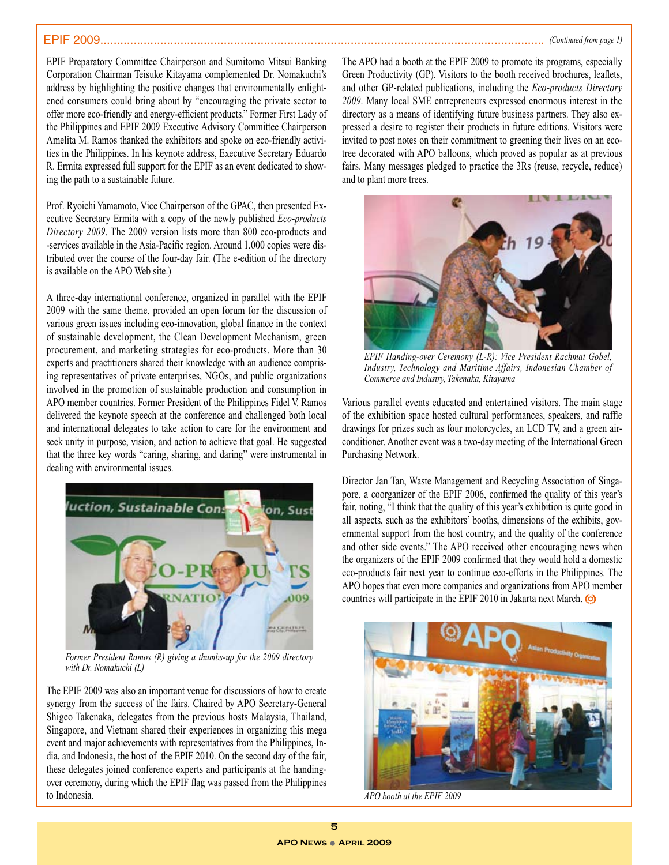<span id="page-4-0"></span>EPIF Preparatory Committee Chairperson and Sumitomo Mitsui Banking Corporation Chairman Teisuke Kitayama complemented Dr. Nomakuchi's address by highlighting the positive changes that environmentally enlightened consumers could bring about by "encouraging the private sector to offer more eco-friendly and energy-efficient products." Former First Lady of the Philippines and EPIF 2009 Executive Advisory Committee Chairperson Amelita M. Ramos thanked the exhibitors and spoke on eco-friendly activities in the Philippines. In his keynote address, Executive Secretary Eduardo R. Ermita expressed full support for the EPIF as an event dedicated to showing the path to a sustainable future.

Prof. Ryoichi Yamamoto, Vice Chairperson of the GPAC, then presented Executive Secretary Ermita with a copy of the newly published *Eco-products Directory 2009*. The 2009 version lists more than 800 eco-products and -services available in the Asia-Pacific region. Around 1,000 copies were distributed over the course of the four-day fair. (The e-edition of the directory is available on the APO Web site.)

A three-day international conference, organized in parallel with the EPIF 2009 with the same theme, provided an open forum for the discussion of various green issues including eco-innovation, global finance in the context of sustainable development, the Clean Development Mechanism, green procurement, and marketing strategies for eco-products. More than 30 experts and practitioners shared their knowledge with an audience comprising representatives of private enterprises, NGOs, and public organizations involved in the promotion of sustainable production and consumption in APO member countries. Former President of the Philippines Fidel V. Ramos delivered the keynote speech at the conference and challenged both local and international delegates to take action to care for the environment and seek unity in purpose, vision, and action to achieve that goal. He suggested that the three key words "caring, sharing, and daring" were instrumental in dealing with environmental issues.



*Former President Ramos (R) giving a thumbs-up for the 2009 directory with Dr. Nomakuchi (L)*

The EPIF 2009 was also an important venue for discussions of how to create synergy from the success of the fairs. Chaired by APO Secretary-General Shigeo Takenaka, delegates from the previous hosts Malaysia, Thailand, Singapore, and Vietnam shared their experiences in organizing this mega event and major achievements with representatives from the Philippines, India, and Indonesia, the host of the EPIF 2010. On the second day of the fair, these delegates joined conference experts and participants at the handingover ceremony, during which the EPIF flag was passed from the Philippines to Indonesia.

The APO had a booth at the EPIF 2009 to promote its programs, especially Green Productivity (GP). Visitors to the booth received brochures, leaflets, and other GP-related publications, including the *Eco-products Directory 2009*. Many local SME entrepreneurs expressed enormous interest in the directory as a means of identifying future business partners. They also expressed a desire to register their products in future editions. Visitors were invited to post notes on their commitment to greening their lives on an ecotree decorated with APO balloons, which proved as popular as at previous fairs. Many messages pledged to practice the 3Rs (reuse, recycle, reduce) and to plant more trees.



*EPIF Handing-over Ceremony (L-R): Vice President Rachmat Gobel, Industry, Technology and Maritime Affairs, Indonesian Chamber of Commerce and Industry, Takenaka, Kitayama*

Various parallel events educated and entertained visitors. The main stage of the exhibition space hosted cultural performances, speakers, and raffle drawings for prizes such as four motorcycles, an LCD TV, and a green airconditioner. Another event was a two-day meeting of the International Green Purchasing Network.

Director Jan Tan, Waste Management and Recycling Association of Singapore, a coorganizer of the EPIF 2006, confirmed the quality of this year's fair, noting, "I think that the quality of this year's exhibition is quite good in all aspects, such as the exhibitors' booths, dimensions of the exhibits, governmental support from the host country, and the quality of the conference and other side events." The APO received other encouraging news when the organizers of the EPIF 2009 confirmed that they would hold a domestic eco-products fair next year to continue eco-efforts in the Philippines. The APO hopes that even more companies and organizations from APO member countries will participate in the EPIF 2010 in Jakarta next March.



*APO booth at the EPIF 2009*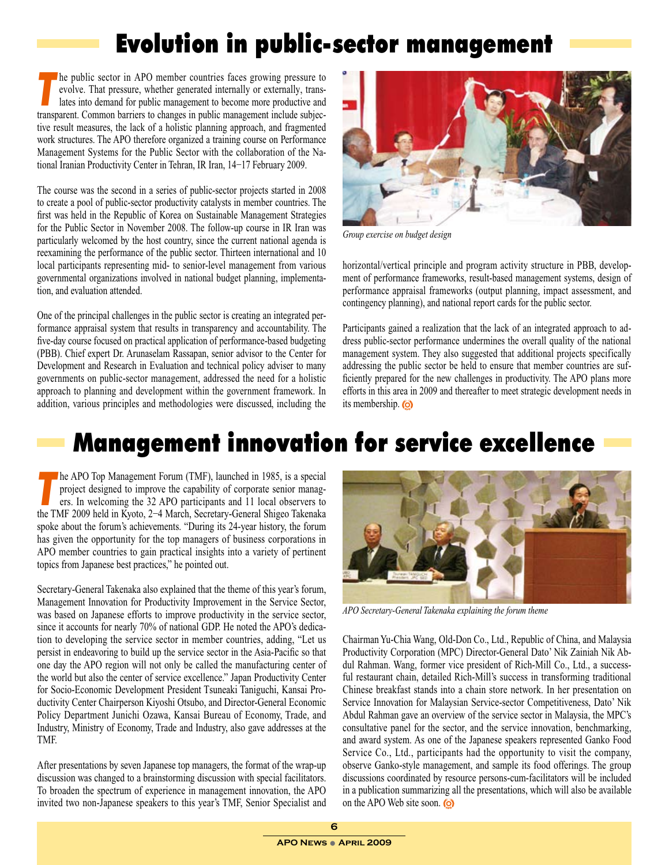## Evolution in public-sector management

<span id="page-5-0"></span>The public sector in APO member countries faces growing pressure to evolve. That pressure, whether generated internally or externally, translates into demand for public management to become more productive and evolve. That pressure, whether generated internally or externally, transtransparent. Common barriers to changes in public management include subjective result measures, the lack of a holistic planning approach, and fragmented work structures. The APO therefore organized a training course on Performance Management Systems for the Public Sector with the collaboration of the National Iranian Productivity Center in Tehran, IR Iran, 14−17 February 2009.

The course was the second in a series of public-sector projects started in 2008 to create a pool of public-sector productivity catalysts in member countries. The first was held in the Republic of Korea on Sustainable Management Strategies for the Public Sector in November 2008. The follow-up course in IR Iran was particularly welcomed by the host country, since the current national agenda is reexamining the performance of the public sector. Thirteen international and 10 local participants representing mid- to senior-level management from various governmental organizations involved in national budget planning, implementation, and evaluation attended.

One of the principal challenges in the public sector is creating an integrated performance appraisal system that results in transparency and accountability. The five-day course focused on practical application of performance-based budgeting (PBB). Chief expert Dr. Arunaselam Rassapan, senior advisor to the Center for Development and Research in Evaluation and technical policy adviser to many governments on public-sector management, addressed the need for a holistic approach to planning and development within the government framework. In addition, various principles and methodologies were discussed, including the



*Group exercise on budget design*

horizontal/vertical principle and program activity structure in PBB, development of performance frameworks, result-based management systems, design of performance appraisal frameworks (output planning, impact assessment, and contingency planning), and national report cards for the public sector.

Participants gained a realization that the lack of an integrated approach to address public-sector performance undermines the overall quality of the national management system. They also suggested that additional projects specifically addressing the public sector be held to ensure that member countries are sufficiently prepared for the new challenges in productivity. The APO plans more efforts in this area in 2009 and thereafter to meet strategic development needs in its membership.

## Management innovation for service excellence

**The APO Top Management Forum (TMF), launched in 1985, is a special<br>project designed to improve the capability of corporate senior managers.<br>In welcoming the 32 APO participants and 11 local observers to** project designed to improve the capability of corporate senior managers. In welcoming the 32 APO participants and 11 local observers to the TMF 2009 held in Kyoto, 2−4 March, Secretary-General Shigeo Takenaka spoke about the forum's achievements. "During its 24-year history, the forum has given the opportunity for the top managers of business corporations in APO member countries to gain practical insights into a variety of pertinent topics from Japanese best practices," he pointed out.

Secretary-General Takenaka also explained that the theme of this year's forum, Management Innovation for Productivity Improvement in the Service Sector, was based on Japanese efforts to improve productivity in the service sector, since it accounts for nearly 70% of national GDP. He noted the APO's dedication to developing the service sector in member countries, adding, "Let us persist in endeavoring to build up the service sector in the Asia-Pacific so that one day the APO region will not only be called the manufacturing center of the world but also the center of service excellence." Japan Productivity Center for Socio-Economic Development President Tsuneaki Taniguchi, Kansai Productivity Center Chairperson Kiyoshi Otsubo, and Director-General Economic Policy Department Junichi Ozawa, Kansai Bureau of Economy, Trade, and Industry, Ministry of Economy, Trade and Industry, also gave addresses at the TMF.

After presentations by seven Japanese top managers, the format of the wrap-up discussion was changed to a brainstorming discussion with special facilitators. To broaden the spectrum of experience in management innovation, the APO invited two non-Japanese speakers to this year's TMF, Senior Specialist and



*APO Secretary-General Takenaka explaining the forum theme* 

Chairman Yu-Chia Wang, Old-Don Co., Ltd., Republic of China, and Malaysia Productivity Corporation (MPC) Director-General Dato' Nik Zainiah Nik Abdul Rahman. Wang, former vice president of Rich-Mill Co., Ltd., a successful restaurant chain, detailed Rich-Mill's success in transforming traditional Chinese breakfast stands into a chain store network. In her presentation on Service Innovation for Malaysian Service-sector Competitiveness, Dato' Nik Abdul Rahman gave an overview of the service sector in Malaysia, the MPC's consultative panel for the sector, and the service innovation, benchmarking, and award system. As one of the Japanese speakers represented Ganko Food Service Co., Ltd., participants had the opportunity to visit the company, observe Ganko-style management, and sample its food offerings. The group discussions coordinated by resource persons-cum-facilitators will be included in a publication summarizing all the presentations, which will also be available on the APO Web site soon.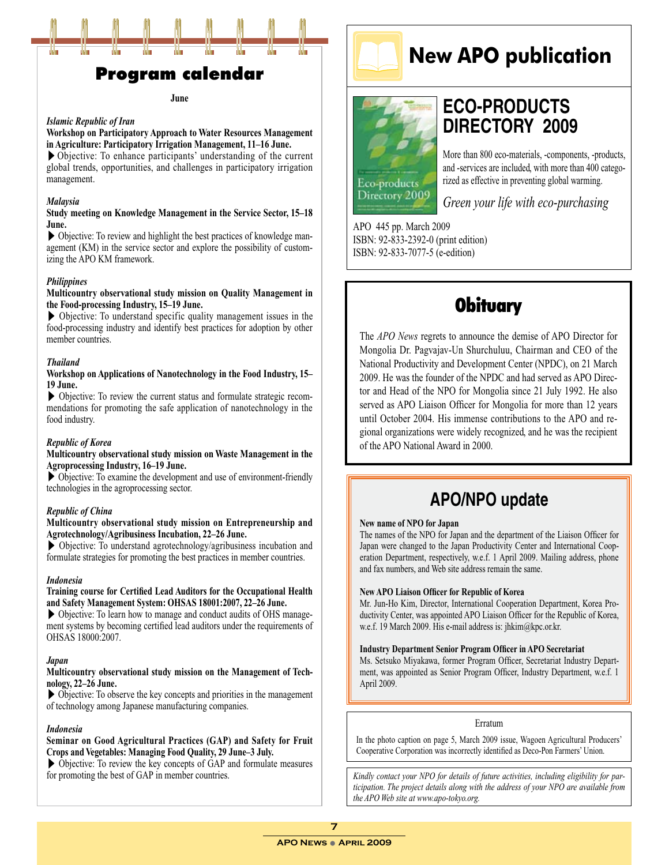<span id="page-6-0"></span>

### Program calendar

#### **June**

#### *Islamic Republic of Iran*

#### **Workshop on Participatory Approach to Water Resources Management in Agriculture: Participatory Irrigation Management, 11–16 June.**

 $\triangleright$  Objective: To enhance participants' understanding of the current global trends, opportunities, and challenges in participatory irrigation management.

#### *Malaysia*

#### **Study meeting on Knowledge Management in the Service Sector, 15–18 June.**

▶ Objective: To review and highlight the best practices of knowledge management (KM) in the service sector and explore the possibility of customizing the APO KM framework.

#### *Philippines*

#### **Multicountry observational study mission on Quality Management in the Food-processing Industry, 15–19 June.**

▶ Objective: To understand specific quality management issues in the food-processing industry and identify best practices for adoption by other member countries.

#### *Thailand*

#### **Workshop on Applications of Nanotechnology in the Food Industry, 15– 19 June.**

▶ Objective: To review the current status and formulate strategic recommendations for promoting the safe application of nanotechnology in the food industry.

#### *Republic of Korea*

#### **Multicountry observational study mission on Waste Management in the Agroprocessing Industry, 16–19 June.**

 $\triangleright$  Objective: To examine the development and use of environment-friendly technologies in the agroprocessing sector.

#### *Republic of China*

#### **Multicountry observational study mission on Entrepreneurship and Agrotechnology/Agribusiness Incubation, 22–26 June.**

▶ Objective: To understand agrotechnology/agribusiness incubation and formulate strategies for promoting the best practices in member countries.

#### *Indonesia*

#### **Training course for Certified Lead Auditors for the Occupational Health and Safety Management System: OHSAS 18001:2007, 22–26 June.**

▶ Objective: To learn how to manage and conduct audits of OHS management systems by becoming certified lead auditors under the requirements of OHSAS 18000:2007.

#### *Japan*

#### **Multicountry observational study mission on the Management of Technology, 22–26 June.**

▶ Objective: To observe the key concepts and priorities in the management of technology among Japanese manufacturing companies.

#### *Indonesia*

#### **Seminar on Good Agricultural Practices (GAP) and Safety for Fruit Crops and Vegetables: Managing Food Quality, 29 June–3 July.**

▶ Objective: To review the key concepts of GAP and formulate measures for promoting the best of GAP in member countries.



# **ECO-PRODUCTS DIRECTORY 2009**

More than 800 eco-materials, -components, -products, and -services are included, with more than 400 categorized as effective in preventing global warming.

*Green your life with eco-purchasing* 

**New APO publication**

APO 445 pp. March 2009 ISBN: 92-833-2392-0 (print edition) ISBN: 92-833-7077-5 (e-edition)

Eco-products Directory 2009

### **Obituary**

The *APO News* regrets to announce the demise of APO Director for Mongolia Dr. Pagvajav-Un Shurchuluu, Chairman and CEO of the National Productivity and Development Center (NPDC), on 21 March 2009. He was the founder of the NPDC and had served as APO Director and Head of the NPO for Mongolia since 21 July 1992. He also served as APO Liaison Officer for Mongolia for more than 12 years until October 2004. His immense contributions to the APO and regional organizations were widely recognized, and he was the recipient of the APO National Award in 2000.

### **APO/NPO update**

#### **New name of NPO for Japan**

The names of the NPO for Japan and the department of the Liaison Officer for Japan were changed to the Japan Productivity Center and International Cooperation Department, respectively, w.e.f. 1 April 2009. Mailing address, phone and fax numbers, and Web site address remain the same.

#### **New APO Liaison Officer for Republic of Korea**

Mr. Jun-Ho Kim, Director, International Cooperation Department, Korea Productivity Center, was appointed APO Liaison Officer for the Republic of Korea, w.e.f. 19 March 2009. His e-mail address is: jhkim@kpc.or.kr.

#### **Industry Department Senior Program Officer in APO Secretariat**

Ms. Setsuko Miyakawa, former Program Officer, Secretariat Industry Department, was appointed as Senior Program Officer, Industry Department, w.e.f. 1 April 2009.

#### Erratum

In the photo caption on page 5, March 2009 issue, Wagoen Agricultural Producers' Cooperative Corporation was incorrectly identified as Deco-Pon Farmers' Union.

*Kindly contact your NPO for details of future activities, including eligibility for participation. The project details along with the address of your NPO are available from the APO Web site at www.apo-tokyo.org.*